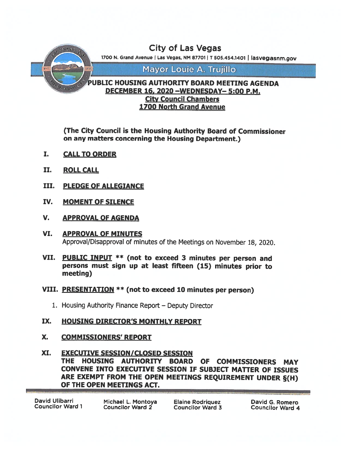

# 1700 North Grand Avenue

(The City Council is the Housing Authority Board of Commissioner on any matters concerning the Housing Department.)

- I. CALLTO ORDER
- II. ROLL CALL
- III. PLEDGE OF ALLEGIANCE
- IV. MOMENT OF SILENCE
- V. APPROVAL OF AGENDA
- VI. APPROVAL OF MINUTES Approval/Disapproval of minutes of the Meetings on November 18, 2020.
- VII. PUBLIC INPUT \*\* (not to exceed <sup>3</sup> minutes per person and persons must sign up at least fifteen (15) minutes prior to meeting)
- VIII. PRESENTATION \*\* (not to exceed <sup>10</sup> minutes per person)
	- 1. Housing Authority Finance Report Deputy Director
- IX. HOUSING DIRECTOR'S MONTHLY REPORT
- X. COMMISSIONERS' REPORT
- XI. EXECUTIVE SESSION/CLOSED SESSION THE HOUSING AUTHORITY BOARD OF COMMISSIONERS MAY CONVENE INTO EXECUTIVE SESSION IF SUBJECT MATTER OF ISSUES ARE EXEMPT FROM THE OPEN MEETINGS REQUIREMENT UNDER §(H) OF THE OPEN MEETINGS ACT.

| David Ulibarri   |  |  |
|------------------|--|--|
| Councilor Ward 1 |  |  |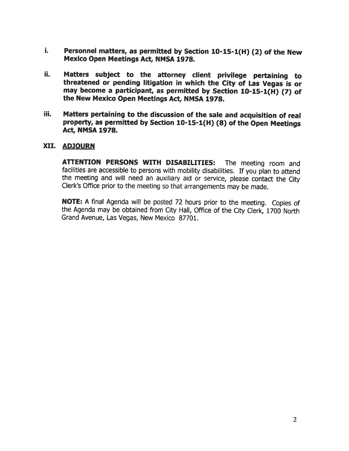- Personnel matters, as permitted by Section 10-15-1(H) (2) of the New i. Mexico Open Meetings Act, NMSA 1978.
- ii. Matters subject to the attorney client privilege pertaining to threatened or pending litigation in which the City of Las Vegas is or may become <sup>a</sup> participant, as permitted by Section 10-15-1(H) (7) of the New Mexico Open Meetings Act, NMSA 1978.
- iii. Matters pertaining to the discussion of the sale and acquisition of real property, as permitted by Section 10-15-1(H) (8) of the Open Meetings Act, NMSA 1978.

# XII. ADJOURN

ATTENTION PERSONS WITH DISABILITIES: The meeting room and facilities are accessible to persons with mobility disabilities. If you plan to attend the meeting and will need an auxiliary aid or service, please contact the City Clerk's Office prior to the meeting so that arrangements may be made.

NOTE: <sup>A</sup> final Agenda will be posted <sup>72</sup> hours prior to the meeting. Copies of the Agenda may be obtained from City Hall, Office of the City Clerk, <sup>1700</sup> North Grand Avenue, Las Vegas, New Mexico 87701.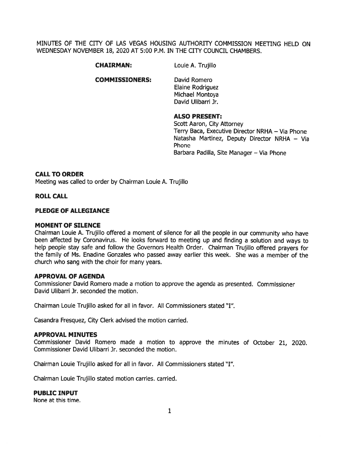MINUTES OF THE CITY OF LAS VEGAS HOUSING AUTHORITY COMMISSION MEETING HELD ON WEDNESDAY NOVEMBER 18, 2020 AT 5:00 P.M. IN THE CITY COUNCIL CHAMBERS.

CHAIRMAN: Louie A. Trujillo

COMMISSIONERS: David Romero

Elaine Rodriguez Michael Montoya David Ulibarri Jr.

# ALSO PRESENT:

Scott Aaron, City Attorney Terry Baca, Executive Director NRHA — Via Phone Natasha Martinez, Deputy Director NRHA — Via Phone Barbara Padilla, Site Manager - Via Phone

#### CALL TO ORDER

Meeting was called to order by Chairman Louie A. Trujillo

#### ROLL CALL

#### PLEDGE OF ALLEGIANCE

#### MOMENT OF SILENCE

Chairman Louie A. Trujillo offered <sup>a</sup> moment of silence for all the people in our community who have been affected by Coronavirus. He looks forward to meeting up and finding <sup>a</sup> solution and ways to help people stay safe and follow the Governors Health Order. Chairman Trujillo offered prayers for the family of Ms. Enadine Gonzales who passed away earlier this week. She was <sup>a</sup> member of the church who sang with the choir for many years.

#### APPROVAL OF AGENDA

Commissioner David Romero made <sup>a</sup> motion to approve the agenda as presented. Commissioner David Ulibarri Jr. seconded the motion.

Chairman Louie Trujillo asked for all in favor. All Commissioners stated "I".

Casandra Fresquez, City Clerk advised the motion carried.

#### APPROVAL MINUTES

Commissioner David Romero made <sup>a</sup> motion to approve the minutes of October 21, 2020. Commissioner David Ulibarri Jr. seconded the motion.

Chairman Louie Trujillo asked for all in favor. All Commissioners stated "I".

Chairman Louie Trujillo stated motion carries, carried.

#### PUBLIC INPUT

None at this time.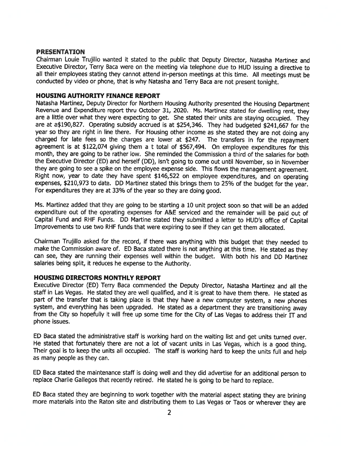#### PRESENTATION

Chairman Loule Trujillo wanted it stated to the public that Deputy Director, Natasha Martinez and Executive Director, Terry Baca were on the meeting via telephone due to HUD issuing <sup>a</sup> directive to all their employees stating they cannot attend in-person meetings at this time. All meetings must be conducted by video or <sup>p</sup>hone, that is why Natasha and Terry Baca are not presen<sup>t</sup> tonight.

#### HOUSING AUTHORITY FINANCE REPORT

Natasha Martinez, Deputy Director for Northern Housing Authority presented the Housing Department Revenue and Expenditure repor<sup>t</sup> thru October 31, 2020. Ms. Martinez stated for dwelling rent, they are a little over what they were expecting to get. She stated their units are staying occupied. They are at a\$190,827. Operating subsidy accrued is at \$254,346. They had budgeted \$241,667 for the year so they are right in line there. For Housing other income as she stated they are not doing any charged for late fees so the charges are lower at \$247. The transfers in for the repaymen<sup>t</sup> agreemen<sup>t</sup> is at \$122,074 <sup>g</sup>iving them <sup>a</sup> <sup>t</sup> total of \$567,494. On employee expenditures for this month, they are going to be rather low. She reminded the Commission <sup>a</sup> third of the salaries for both the Executive Director (ED) and herself (DD), isn't going to come out until November, so in November they are going to see <sup>a</sup> spike on the employee expense side. This flows the managemen<sup>t</sup> agreement. Right now, year to date they have spen<sup>t</sup> \$146,522 on employee expenditures, and on operating expenses, \$210,973 to date. DD Martinez stated this brings them to 25% of the budget for the year. For expenditures they are at 33% of the year so they are doing good.

Ms. Martinez added that they are going to be starting <sup>a</sup> 10 unit project soon so that will be an added expenditure out of the operating expenses for A&E serviced and the remainder will be paid out of Capital Fund and RHF Funds. DD Martine stated they submitted <sup>a</sup> letter to HUD's office of Capital Improvements to use two RHF funds that were expiring to see if they can ge<sup>t</sup> them allocated.

Chairman Trujillo asked for the record, if there was anything with this budget that they needed to make the Commission aware of. ED Baca stated there is not anything at this time. He stated as they can see, they are running their expenses well within the budget. With both his and DD Martinez salaries being split, it reduces he expense to the Authority.

#### HOUSING DIRECTORS MONTHLY REPORT

Executive Director (ED) Terry Baca commended the Deputy Director, Natasha Martinez and all the staff in Las Vegas. He stated they are well qualified, and it is grea<sup>t</sup> to have them there. He stated as part of the transfer that is taking place is that they have a new computer system, a new phones system, and everything has been upgraded. He stated as a department they are transitioning away from the City so hopefully it will free up some time for the City of Las Vegas to address their  $IT$  and phone issues.

ED Baca stated the administrative staff is working hard on the waiting list and ge<sup>t</sup> units turned over. He stated that fortunately there are not <sup>a</sup> lot of vacant units in Las Vegas, which is <sup>a</sup> goo<sup>d</sup> thing. Their goal is to keep the units all occupied. The staff is working hard to keep the units full and help as many people as they can.

ED Baca stated the maintenance staff is doing well and they did advertise for an additional person to replace Charlie Gallegos that recently retired. He stated he is going to be hard to replace.

ED Baca stated they are beginning to work together with the material aspec<sup>t</sup> stating they are brining more materials into the Raton site and distributing them to Las Vegas or Taos or wherever they are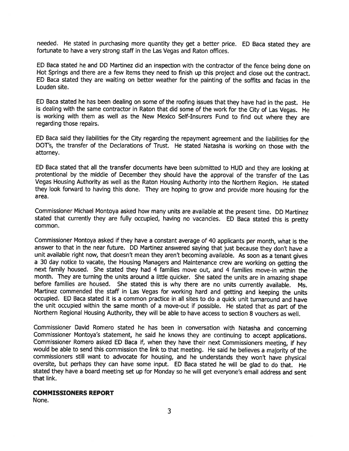needed. He stated in purchasing more quantity they ge<sup>t</sup> <sup>a</sup> better price. ED Baca stated they are fortunate to have <sup>a</sup> very strong staff in the Las Vegas and Raton offices.

ED Baca stated he and DD Martinez did an inspection with the contractor of the fence being done on Hot Springs and there are <sup>a</sup> few items they need to finish up this project and close out the contract. ED Baca stated they are waiting on better weather for the painting of the soffits and facias in the Louden site.

ED Baca stated he has been dealing on some of the roofing issues that they have had in the past. He is dealing with the same contractor in Raton that did some of the work for the City of Las Vegas. He is working with them as well as the New Mexico Self-Insurers Fund to find out where they are regarding those repairs.

ED Baca said they liabilities for the City regarding the repaymen<sup>t</sup> agreemen<sup>t</sup> and the liabilities for the DOT's, the transfer of the Declarations of Trust. He stated Natasha is working on those with the attorney.

ED Baca stated that all the transfer documents have been submitted to HUD and they are looking at protentional by the middle of December they should have the approva<sup>l</sup> of the transfer of the Las Vegas Housing Authority as well as the Raton Housing Authority into the Northern Region. He stated they look forward to having this done. They are hoping to grow and provide more housing for the area.

Commissioner Michael Montoya asked how many units are available at the presen<sup>t</sup> time. DD Martinez stated that currently they are fully occupied, having no vacancies. ED Baca stated this is pretty common.

Commissioner Montoya asked if they have <sup>a</sup> constant average of <sup>40</sup> applicants per month, what is the answer to that in the near future. DD Martinez answered saying that just because they don't have <sup>a</sup> unit available right now, that doesn't mean they aren't becoming available. As soon as <sup>a</sup> tenant <sup>g</sup>ives <sup>a</sup> <sup>30</sup> day notice to vacate, the Housing Managers and Maintenance crew are working on getting the next family housed. She stated they had 4 families move out, and 4 families move-in within the month. They are turning the units around <sup>a</sup> little quicker. She sated the units are in amazing shape before families are housed. She stated this is why there are no units currently available. Ms. Martinez commended the staff in Las Vegas for working hard and getting and keeping the units occupied. ED Baca stated it is <sup>a</sup> common practice in all sites to do <sup>a</sup> quick unit turnaround and have the unit occupied within the same month of <sup>a</sup> move-out if possible. He stated that as par<sup>t</sup> of the Northern Regional Housing Authority, they will be able to have access to section 8 vouchers as well.

Commissioner David Romero stated he has been in conversation with Natasha and concerning Commissioner Montoya's statement, he said he knows they are continuing to accep<sup>t</sup> applications. Commissioner Romero asked ED Baca if, when they have their next Commissioners meeting, if hey would be able to send this commission the link to that meeting. He said he believes <sup>a</sup> majority of the commissioners still want to advocate for housing, and he understands they won't have <sup>p</sup>hysical oversite, but perhaps they can have some input. ED Baca stated he will be <sup>g</sup>lad to do that. He stated they have <sup>a</sup> board meeting set up for Monday so he will ge<sup>t</sup> everyone's email address and sent that link.

#### COMMISSIONERS REPORT

None.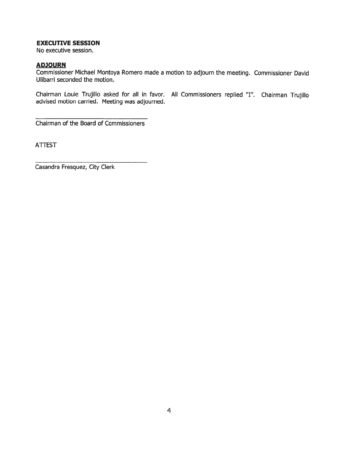# EXECUTIVE SESSION

No executive session.

## **ADJOURN**

Commissioner Michael Montoya Romero made <sup>a</sup> motion to adjourn the meeting. Commissioner David Ulibarri seconded the motion.

Chairman Louie Trujillo asked for all in favor. All Commissioners replied "I". Chairman Trujillo advised motion carried. Meeting was adjourned.

Chairman of the Board of Commissioners

**ATTEST** 

Casandra Fresquez, City Clerk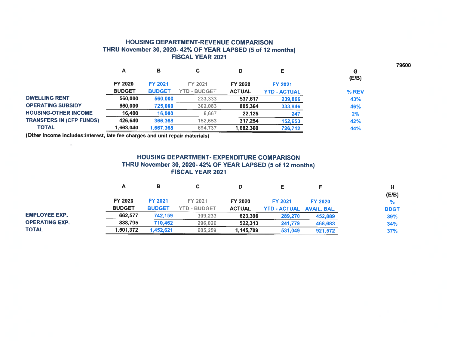### HOUSING DEPARTMENT-REVENUE COMPARISON THRU November 30, 2020- 42% OF YEAR LAPSED (5 of 12 months) FISCAL YEAR 2021

|                                 | A              | в              | С                   | D             |                     | G<br>(E/B) |
|---------------------------------|----------------|----------------|---------------------|---------------|---------------------|------------|
|                                 | <b>FY 2020</b> | <b>FY 2021</b> | FY 2021             | FY 2020       | FY 2021             |            |
|                                 | <b>BUDGET</b>  | <b>BUDGET</b>  | <b>YTD - BUDGET</b> | <b>ACTUAL</b> | <b>YTD - ACTUAL</b> | % REV      |
| <b>DWELLING RENT</b>            | 560,000        | 560,000        | 233,333             | 537,617       | 239,866             | 43%        |
| <b>OPERATING SUBSIDY</b>        | 660,000        | 725,000        | 302,083             | 805,364       | 333,946             | 46%        |
| <b>HOUSING-OTHER INCOME</b>     | 16.400         | 16,000         | 6.667               | 22.125        | 247                 | 2%         |
| <b>TRANSFERS IN (CFP FUNDS)</b> | 426,640        | 366,368        | 152,653             | 317,254       | 152,653             | 42%        |
| <b>TOTAL</b>                    | 1,663,040      | 1,667,368      | 694,737             | 1,682,360     | 726,712             | 44%        |
|                                 |                |                |                     |               |                     |            |

(Other income includes:interest, late fee charges and unit repair materials)

 $\overline{\mathcal{M}}$ 

# HOUSING DEPARTMENT- EXPENDITURE COMPARISON THRU November 30, 2020- 42% OF YEAR LAPSED (5 of <sup>12</sup> months) FISCAL YEAR 2021

|                       | А             | в              | С                   |               |                     |                    |             |
|-----------------------|---------------|----------------|---------------------|---------------|---------------------|--------------------|-------------|
|                       |               |                |                     |               |                     |                    | (E/B)       |
|                       | FY 2020       | <b>FY 2021</b> | FY 2021             | FY 2020       | <b>FY 2021</b>      | <b>FY 2020</b>     | %           |
|                       | <b>BUDGET</b> | <b>BUDGET</b>  | <b>YTD - BUDGET</b> | <b>ACTUAL</b> | <b>YTD - ACTUAL</b> | <b>AVAIL, BAL.</b> | <b>BDGT</b> |
| <b>EMPLOYEE EXP.</b>  | 662.577       | 742,159        | 309,233             | 623.396       | 289,270             | 452,889            | 39%         |
| <b>OPERATING EXP.</b> | 838.795       | 710,462        | 296.026             | 522,313       | 241,779             | 468,683            | 34%         |
| <b>TOTAL</b>          | 1,501,372     | 1.452.621      | 605,259             | 1,145,709     | 531,049             | 921.572            | 37%         |

79600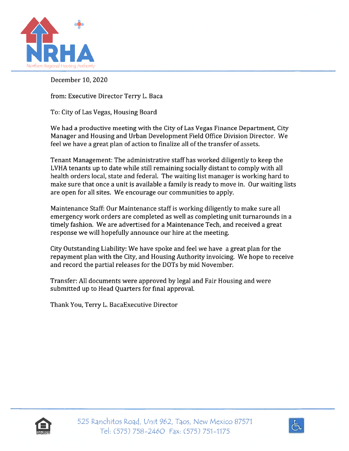

December 10, 2020

from: Executive Director Terry L. Baca

To: City of Las Vegas, Housing Board

We had <sup>a</sup> productive meeting with the City of Las Vegas Finance Department, City Manager and Housing and Urban Development Field Office Division Director. We feel we have <sup>a</sup> grea<sup>t</sup> plan of action to finalize all of the transfer of assets.

Tenant Management: The administrative staff has worked diligently to keep the LVHA tenants up to date while still remaining socially distant to comply with all health orders local, state and federal. The waiting list manager is working hard to make sure that once <sup>a</sup> unit is available <sup>a</sup> family is ready to move in. Our waiting lists are open for all sites. We encourage our communities to apply.

Maintenance Staff: Our Maintenance staff is working diligently to make sure all emergency work orders are completed as well as completing unit turnarounds in <sup>a</sup> timely fashion. We are advertised for <sup>a</sup> Maintenance Tech, and received <sup>a</sup> grea<sup>t</sup> response we will hopefully announce our hire at the meeting.

City Outstanding Liability: We have spoke and feel we have <sup>a</sup> grea<sup>t</sup> plan for the repaymen<sup>t</sup> plan with the City, and Housing Authority invoicing. We hope to receive and record the partial releases for the DOTs by mid November.

Transfer: All documents were approved by legal and Fair Housing and were submitted up to Head Quarters for final approval.

Thank You, Terry L. BacaExecutive Director



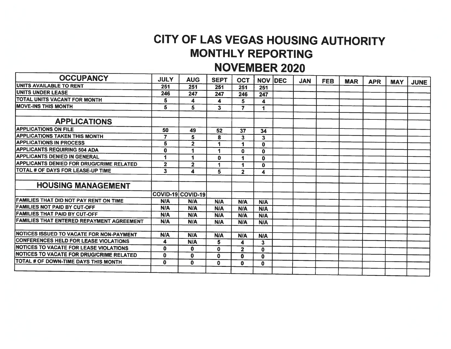# CITY OF LAS VEGAS HOUSING AUTHORITY MONTHLY REPORTING

# NOVEMBER 2020

| <b>OCCUPANCY</b>                                | <b>JULY</b>             | <b>AUG</b>              | <b>SEPT</b>  | <b>OCT</b>              |                         | <b>NOV IDEC</b> | <b>JAN</b> | <b>FEB</b> | <b>MAR</b> | <b>APR</b> | <b>MAY</b> | <b>JUNE</b> |
|-------------------------------------------------|-------------------------|-------------------------|--------------|-------------------------|-------------------------|-----------------|------------|------------|------------|------------|------------|-------------|
| UNITS AVAILABLE TO RENT                         | 251                     | 251                     | 251          | 251                     | 251                     |                 |            |            |            |            |            |             |
| UNITS UNDER LEASE                               | 246                     | 247                     | 247          | 246                     | 247                     |                 |            |            |            |            |            |             |
| TOTAL UNITS VACANT FOR MONTH                    | 5                       | 4                       | 4            | 5                       | 4                       |                 |            |            |            |            |            |             |
| <b>MOVE-INS THIS MONTH</b>                      | 5                       | 5                       | $\mathbf{3}$ | 7                       | 4                       |                 |            |            |            |            |            |             |
|                                                 |                         |                         |              |                         |                         |                 |            |            |            |            |            |             |
| <b>APPLICATIONS</b>                             |                         |                         |              |                         |                         |                 |            |            |            |            |            |             |
| <b>APPLICATIONS ON FILE</b>                     | 50                      | 49                      | 52           | 37                      | 34                      |                 |            |            |            |            |            |             |
| <b>APPLICATIONS TAKEN THIS MONTH</b>            | 7                       | 5                       | 8            | 3                       | $\overline{\mathbf{3}}$ |                 |            |            |            |            |            |             |
| <b>APPLICATIONS IN PROCESS</b>                  | 5                       | $\overline{\mathbf{2}}$ | 1            | 1                       | $\bf{0}$                |                 |            |            |            |            |            |             |
| <b>APPLICANTS REQUIRING 504 ADA</b>             | 0                       | 1                       | 1            | $\mathbf{0}$            | $\bf{0}$                |                 |            |            |            |            |            |             |
| <b>APPLICANTS DENIED IN GENERAL</b>             | 1                       |                         | $\mathbf{0}$ |                         | $\mathbf 0$             |                 |            |            |            |            |            |             |
| <b>APPLICANTS DENIED FOR DRUG/CRIME RELATED</b> | $\overline{\mathbf{2}}$ | $\mathbf{2}$            | 1            |                         | $\mathbf{0}$            |                 |            |            |            |            |            |             |
| TOTAL # OF DAYS FOR LEASE-UP TIME               | 3                       | 4                       | 5.           | $\overline{\mathbf{2}}$ | 4                       |                 |            |            |            |            |            |             |
|                                                 |                         |                         |              |                         |                         |                 |            |            |            |            |            |             |
| <b>HOUSING MANAGEMENT</b>                       |                         |                         |              |                         |                         |                 |            |            |            |            |            |             |
|                                                 |                         | COVID-19 COVID-19       |              |                         |                         |                 |            |            |            |            |            |             |
| FAMILIES THAT DID NOT PAY RENT ON TIME          | <b>N/A</b>              | <b>N/A</b>              | <b>N/A</b>   | <b>N/A</b>              | <b>N/A</b>              |                 |            |            |            |            |            |             |
| <b>FAMILIES NOT PAID BY CUT-OFF</b>             | <b>N/A</b>              | <b>N/A</b>              | <b>N/A</b>   | <b>N/A</b>              | <b>N/A</b>              |                 |            |            |            |            |            |             |
| <b>FAMILIES THAT PAID BY CUT-OFF</b>            | <b>N/A</b>              | <b>N/A</b>              | <b>N/A</b>   | <b>N/A</b>              | <b>N/A</b>              |                 |            |            |            |            |            |             |
| FAMILIES THAT ENTERED REPAYMENT AGREEMENT       | <b>N/A</b>              | <b>N/A</b>              | <b>N/A</b>   | <b>N/A</b>              | <b>N/A</b>              |                 |            |            |            |            |            |             |
|                                                 |                         |                         |              |                         |                         |                 |            |            |            |            |            |             |
| NOTICES ISSUED TO VACATE FOR NON-PAYMENT        | <b>N/A</b>              | <b>N/A</b>              | <b>N/A</b>   | <b>N/A</b>              | <b>N/A</b>              |                 |            |            |            |            |            |             |
| CONFERENCES HELD FOR LEASE VIOLATIONS           | 4                       | <b>N/A</b>              | 5            | 4                       | 3                       |                 |            |            |            |            |            |             |
| <b>INOTICES TO VACATE FOR LEASE VIOLATIONS</b>  | $\mathbf 0$             | $\mathbf{0}$            | $\mathbf{0}$ | $\overline{2}$          | 0                       |                 |            |            |            |            |            |             |
| NOTICES TO VACATE FOR DRUG/CRIME RELATED        | $\mathbf{0}$            | $\mathbf{0}$            | $\mathbf{0}$ | $\mathbf{0}$            | $\mathbf 0$             |                 |            |            |            |            |            |             |
| TOTAL # OF DOWN-TIME DAYS THIS MONTH            | $\bf{0}$                | $\mathbf{0}$            | $\mathbf{0}$ | $\mathbf{0}$            | $\mathbf{0}$            |                 |            |            |            |            |            |             |
|                                                 |                         |                         |              |                         |                         |                 |            |            |            |            |            |             |
|                                                 |                         |                         |              |                         |                         |                 |            |            |            |            |            |             |